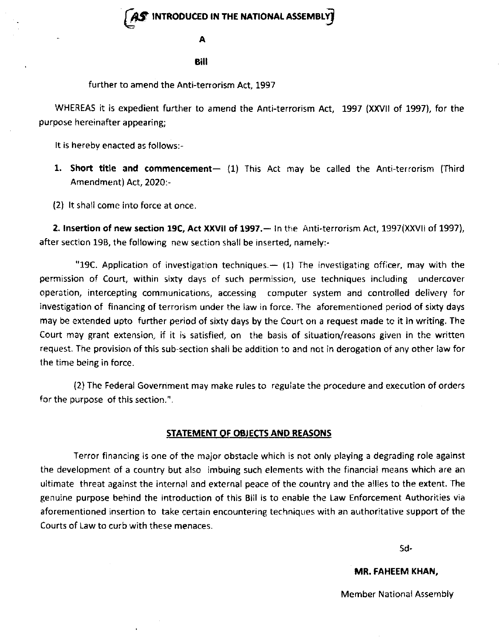## $\mathbf{S}^*$  introduced in the national assembly

#### A

#### Bill

further to amend the Anti-terrorism Act, 1997

WHEREAS it is expedient further to amend the Anti-terrorism Act, 1997 (XXVII of 1997), for the purpose hereinafter appearing;

It is hereby enacted as follows:-

- 1. Short title and commencement-  $(1)$  This Act may be called the Anti-terrorism (Third Amendment) Act, 2020:-
- (2) lt shall come into force at once

2. Insertion of new section 19C, Act XXVII of 1997.— In the Anti-terrorism Act, 1997(XXVII of 1997), after section 198, the following new section shall be inserted, namely:-

"19C. Application of investigation techniques. $-$  (1) The investigating officer, may with the permission of Court, within sixty days of such permission, use techniques including undercover operation, intercepting comrnunlcations, accessing computer system and controlled delivery for investigation of financing of terrorism under the law in force. The aforementioned period of sixty days may be extended upto further period of sixty days by the Court on a request made tc it in writing. The Court may grant extension, if it is satisfied, on the basis of situation,/reasons given in the written request. The provision of this sub-section shall be addition to and not in derogation of any other law for the time being in force.

(2) The Federal Government may make rules to regulate the procedure and execution of orders for the purpose of this section.".

### STATEMENT OF OBJECTS AND REASONS

Terror financing is one of the major obstacle which is not only playing a degrading role against the development of a country but also imbuing such elements with the financial means which are an ultimate threat against the internal and external peace of the country and the allies to the extent. The genuine purpose behind the introduction of this Bill is to enable the Law Enforcement Authorities via aforementioned insertion to take certain encountering techniques with an authoritative support of the Courts of Law to curb with these menaces.

sd-

**MR. FAHEEM KHAN.** 

Member National Assembly